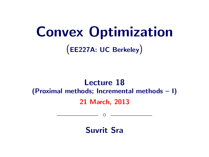# Convex Optimization (EE227A: UC Berkeley)

# Lecture 18 (Proximal methods; Incremental methods – I) 21 March, 2013

 $\circ$ 

Suvrit Sra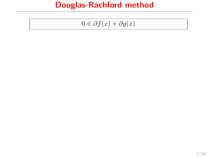$$
0 \in \partial f(x) + \partial g(x)
$$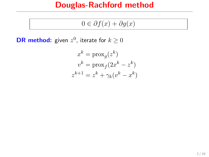$$
0 \in \partial f(x) + \partial g(x)
$$

**DR method:** given  $z^0$ , iterate for  $k \geq 0$ 

$$
x^{k} = \text{prox}_{g}(z^{k})
$$

$$
v^{k} = \text{prox}_{f}(2x^{k} - z^{k})
$$

$$
z^{k+1} = z^{k} + \gamma_{k}(v^{k} - x^{k})
$$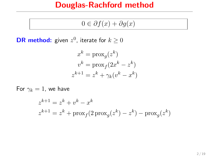$$
0 \in \partial f(x) + \partial g(x)
$$

**DR method:** given  $z^0$ , iterate for  $k \geq 0$ 

$$
x^{k} = \text{prox}_{g}(z^{k})
$$

$$
v^{k} = \text{prox}_{f}(2x^{k} - z^{k})
$$

$$
z^{k+1} = z^{k} + \gamma_{k}(v^{k} - x^{k})
$$

For  $\gamma_k = 1$ , we have

$$
z^{k+1} = z^k + v^k - x^k
$$
  

$$
z^{k+1} = z^k + \text{prox}_f(2\operatorname{prox}_g(z^k) - z^k) - \text{prox}_g(z^k)
$$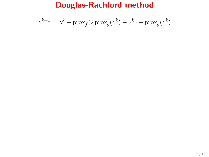$$
z^{k+1} = z^k + \text{prox}_f(2\operatorname{prox}_g(z^k) - z^k) - \text{prox}_g(z^k)
$$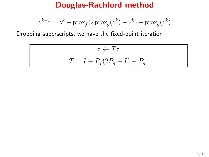$$
z^{k+1} = z^k + \mathrm{prox}_f(2\operatorname{prox}_g(z^k) - z^k) - \mathrm{prox}_g(z^k)
$$

Dropping superscripts, we have the fixed-point iteration

 $z \leftarrow Tz$  $T = I + P_f(2P_g - I) - P_g$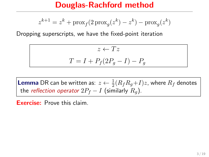$$
z^{k+1} = z^k + \mathrm{prox}_f(2\operatorname{prox}_g(z^k) - z^k) - \mathrm{prox}_g(z^k)
$$

Dropping superscripts, we have the fixed-point iteration

 $z \leftarrow Tz$  $T = I + P_f(2P_q - I) - P_q$ 

**Lemma** DR can be written as:  $z \leftarrow \frac{1}{2}(R_fR_g{+}I)z$ , where  $R_f$  denotes the reflection operator  $2P_f - I$  (similarly  $R_q$ ).

Exercise: Prove this claim.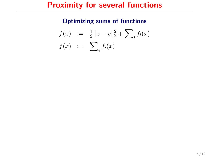### Proximity for several functions

#### Optimizing sums of functions

$$
f(x) := \frac{1}{2} ||x - y||_2^2 + \sum_i f_i(x)
$$
  

$$
f(x) := \sum_i f_i(x)
$$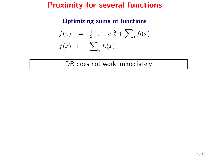### Proximity for several functions

#### Optimizing sums of functions

$$
f(x) := \frac{1}{2} \|x - y\|_2^2 + \sum_i f_i(x)
$$
  

$$
f(x) := \sum_i f_i(x)
$$

DR does not work immediately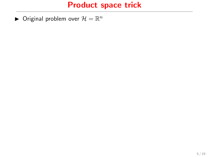$\blacktriangleright$  Original problem over  $\mathcal{H} = \mathbb{R}^n$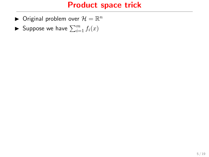- $\blacktriangleright$  Original problem over  $\mathcal{H} = \mathbb{R}^n$
- Suppose we have  $\sum_{i=1}^m f_i(x)$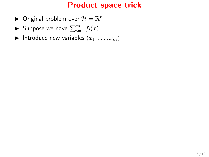- $\blacktriangleright$  Original problem over  $\mathcal{H} = \mathbb{R}^n$
- Suppose we have  $\sum_{i=1}^m f_i(x)$
- Introduce new variables  $(x_1, \ldots, x_m)$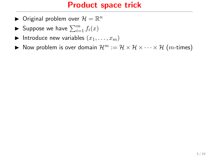- $\blacktriangleright$  Original problem over  $\mathcal{H} = \mathbb{R}^n$
- Suppose we have  $\sum_{i=1}^m f_i(x)$
- Introduce new variables  $(x_1, \ldots, x_m)$
- $\blacktriangleright$  Now problem is over domain  $\mathcal{H}^m := \mathcal{H} \times \mathcal{H} \times \cdots \times \mathcal{H}$  (*m*-times)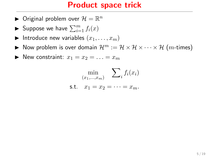- $\blacktriangleright$  Original problem over  $\mathcal{H} = \mathbb{R}^n$
- Suppose we have  $\sum_{i=1}^m f_i(x)$
- Introduce new variables  $(x_1, \ldots, x_m)$
- $\blacktriangleright$  Now problem is over domain  $\mathcal{H}^m := \mathcal{H} \times \mathcal{H} \times \cdots \times \mathcal{H}$  (*m*-times)
- $\blacktriangleright$  New constraint:  $x_1 = x_2 = \ldots = x_m$

$$
\min_{(x_1,\ldots,x_m)} \sum_i f_i(x_i)
$$
  
s.t.  $x_1 = x_2 = \cdots = x_m$ .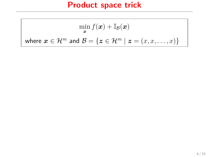$$
\min_{\mathbf{x}} f(\mathbf{x}) + \mathbb{I}_{\mathcal{B}}(\mathbf{x})
$$
  
where  $\mathbf{x} \in \mathcal{H}^m$  and  $\mathcal{B} = \{ \mathbf{z} \in \mathcal{H}^m \mid \mathbf{z} = (x, x, \dots, x) \}$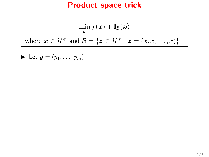$$
\min_{\mathbf{x}} f(\mathbf{x}) + \mathbb{I}_{\mathcal{B}}(\mathbf{x})
$$
  
where  $\mathbf{x} \in \mathcal{H}^m$  and  $\mathcal{B} = \{ \mathbf{z} \in \mathcal{H}^m \mid \mathbf{z} = (x, x, \dots, x) \}$ 

$$
\blacktriangleright \ \mathsf{Let} \ \pmb{y} = (y_1, \ldots, y_m)
$$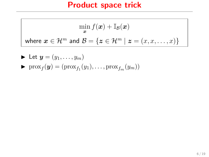$$
\min_{\mathbf{x}} f(\mathbf{x}) + \mathbb{I}_{\mathcal{B}}(\mathbf{x})
$$
 where  $\mathbf{x} \in \mathcal{H}^m$  and  $\mathcal{B} = \{\mathbf{z} \in \mathcal{H}^m \mid \mathbf{z} = (x, x, \dots, x)\}$ 

\n- Let 
$$
\mathbf{y} = (y_1, \ldots, y_m)
$$
\n- $\text{prox}_f(\mathbf{y}) = (\text{prox}_{f_1}(y_1), \ldots, \text{prox}_{f_m}(y_m))$
\n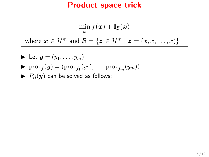$$
\min_{\mathbf{x}} f(\mathbf{x}) + \mathbb{I}_{\mathcal{B}}(\mathbf{x})
$$
 where  $\mathbf{x} \in \mathcal{H}^m$  and  $\mathcal{B} = \{\mathbf{z} \in \mathcal{H}^m \mid \mathbf{z} = (x, x, \dots, x)\}$ 

$$
\triangleright \text{ Let } y = (y_1, \dots, y_m)
$$

$$
\triangleright \text{prox}_{f}(y) = (\text{prox}_{f_1}(y_1), \dots, \text{prox}_{f_m}(y_m))
$$

$$
\blacktriangleright
$$
  $P_{\mathcal{B}}(y)$  can be solved as follows: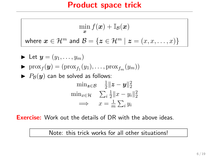$$
\min_{\mathbf{x}} f(\mathbf{x}) + \mathbb{I}_{\mathcal{B}}(\mathbf{x})
$$
 where  $\mathbf{x} \in \mathcal{H}^m$  and  $\mathcal{B} = \{\mathbf{z} \in \mathcal{H}^m \mid \mathbf{z} = (x, x, \dots, x)\}$ 

\n- \n
$$
\begin{aligned}\n &\blacktriangleright \text{ Let } \mathbf{y} = (y_1, \ldots, y_m) \\
&\blacktriangleright \text{ prox}_f(\mathbf{y}) = (\text{prox}_{f_1}(y_1), \ldots, \text{prox}_{f_m}(y_m)) \\
&\blacktriangleright P_B(\mathbf{y}) \text{ can be solved as follows:} \\
&\quad \min_{\mathbf{z} \in \mathcal{B}} \quad \frac{1}{2} \|\mathbf{z} - \mathbf{y}\|_2^2 \\
&\quad \min_{x \in \mathcal{H}} \quad \sum_i \frac{1}{2} \|x - y_i\|_2^2 \\
&\implies \quad x = \frac{1}{m} \sum_i y_i\n \end{aligned}
$$
\n
\n

**Exercise:** Work out the details of DR with the above ideas.

Note: this trick works for all other situations!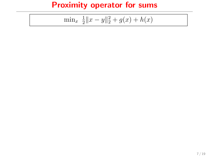$$
\min_{x} \frac{1}{2} \|x - y\|_2^2 + g(x) + h(x)
$$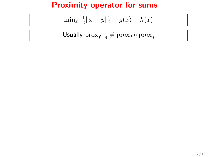$$
\min_{x} \frac{1}{2} \|x - y\|_2^2 + g(x) + h(x)
$$

$$
\mathsf{Usually} \ \mathsf{prox}_{f+g} \neq \mathsf{prox}_f \circ \mathsf{prox}_g
$$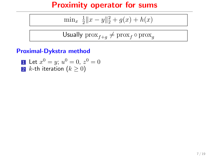$$
\min_{x} \frac{1}{2} \|x - y\|_2^2 + g(x) + h(x)
$$

$$
\textsf{Usually } \textsf{prox}_{f+g} \neq \textsf{prox}_f \circ \textsf{prox}_g
$$

#### Proximal-Dykstra method

1 Let 
$$
x^0 = y
$$
;  $u^0 = 0$ ,  $z^0 = 0$   
2 k-th iteration  $(k \ge 0)$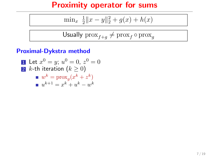$$
\min_{x} \frac{1}{2} \|x - y\|_2^2 + g(x) + h(x)
$$

$$
\textsf{Usually } \textsf{prox}_{f+g} \neq \textsf{prox}_f \circ \textsf{prox}_g
$$

#### Proximal-Dykstra method

\n- **1** Let 
$$
x^0 = y
$$
;  $u^0 = 0$ ,  $z^0 = 0$
\n- **2**  $k$ -th iteration  $(k \geq 0)$
\n- **3**  $w^k = \text{prox}_g(x^k + z^k)$
\n- **4**  $w^{k+1} = x^k + u^k - w^k$
\n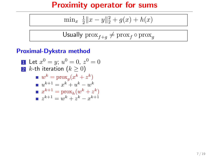$$
\min_{x} \frac{1}{2} \|x - y\|_2^2 + g(x) + h(x)
$$

Usually 
$$
\text{prox}_{f+g} \neq \text{prox}_f \circ \text{prox}_g
$$

#### Proximal-Dykstra method

1 Let 
$$
x^0 = y
$$
;  $u^0 = 0$ ,  $z^0 = 0$   
\n2 k-th iteration  $(k \ge 0)$   
\n $w^k = \text{prox}_g(x^k + z^k)$   
\n $u^{k+1} = x^k + u^k - w^k$   
\n $x^{k+1} = \text{prox}_h(w^k + z^k)$   
\n $z^{k+1} = w^k + z^k - x^{k+1}$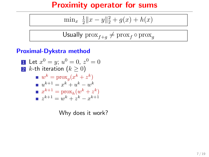$$
\min_{x} \frac{1}{2} \|x - y\|_2^2 + g(x) + h(x)
$$

Usually 
$$
\text{prox}_{f+g} \neq \text{prox}_f \circ \text{prox}_g
$$

#### Proximal-Dykstra method

\n- **1** Let 
$$
x^0 = y
$$
;  $u^0 = 0$ ,  $z^0 = 0$
\n- **2** k-th iteration  $(k \ge 0)$
\n- **3**  $w^k = \text{prox}_g(x^k + z^k)$
\n- **4**  $w^{k+1} = x^k + w^k - w^k$
\n- **5**  $x^{k+1} = \text{prox}_h(w^k + z^k)$
\n- **6**  $z^{k+1} = w^k + z^k - x^{k+1}$
\n

Why does it work?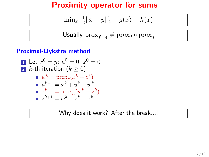$$
\min_{x} \frac{1}{2} \|x - y\|_2^2 + g(x) + h(x)
$$

Usually 
$$
\text{prox}_{f+g} \neq \text{prox}_f \circ \text{prox}_g
$$

#### Proximal-Dykstra method

1 Let 
$$
x^0 = y
$$
;  $u^0 = 0$ ,  $z^0 = 0$   
\n2 k-th iteration  $(k \ge 0)$   
\n $w^k = \text{prox}_g(x^k + z^k)$   
\n $u^{k+1} = x^k + u^k - w^k$   
\n $x^{k+1} = \text{prox}_h(w^k + z^k)$   
\n $z^{k+1} = w^k + z^k - x^{k+1}$ 

Why does it work? After the break...!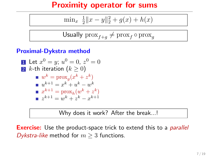$$
\min_{x} \frac{1}{2} \|x - y\|_2^2 + g(x) + h(x)
$$

Usually 
$$
\text{prox}_{f+g} \neq \text{prox}_f \circ \text{prox}_g
$$

#### Proximal-Dykstra method

1 Let 
$$
x^0 = y
$$
;  $u^0 = 0$ ,  $z^0 = 0$   
\n2 k-th iteration  $(k \ge 0)$   
\n $w^k = \text{prox}_g(x^k + z^k)$   
\n $u^{k+1} = x^k + u^k - w^k$   
\n $x^{k+1} = \text{prox}_h(w^k + z^k)$   
\n $z^{k+1} = w^k + z^k - x^{k+1}$ 

Why does it work? After the break...!

**Exercise:** Use the product-space trick to extend this to a *parallel* Dykstra-like method for  $m > 3$  functions.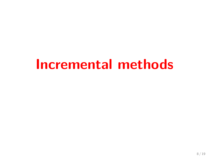# Incremental methods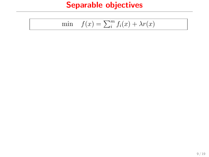# Separable objectives

$$
\min \quad f(x) = \sum_{i=1}^{m} f_i(x) + \lambda r(x)
$$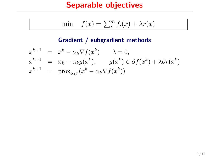### Separable objectives

$$
\min \quad f(x) = \sum_{i=1}^{m} f_i(x) + \lambda r(x)
$$

#### Gradient / subgradient methods

$$
x^{k+1} = x^k - \alpha_k \nabla f(x^k) \qquad \lambda = 0,
$$
  
\n
$$
x^{k+1} = x_k - \alpha_k g(x^k), \qquad g(x^k) \in \partial f(x^k) + \lambda \partial r(x^k)
$$
  
\n
$$
x^{k+1} = \text{prox}_{\alpha_k r}(x^k - \alpha_k \nabla f(x^k))
$$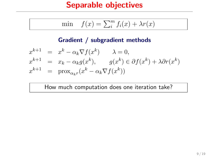### Separable objectives

$$
\min \quad f(x) = \sum_{i=1}^{m} f_i(x) + \lambda r(x)
$$

#### Gradient / subgradient methods

$$
x^{k+1} = x^k - \alpha_k \nabla f(x^k) \qquad \lambda = 0,
$$
  
\n
$$
x^{k+1} = x_k - \alpha_k g(x^k), \qquad g(x^k) \in \partial f(x^k) + \lambda \partial r(x^k)
$$
  
\n
$$
x^{k+1} = \text{prox}_{\alpha_k r}(x^k - \alpha_k \nabla f(x^k))
$$

How much computation does one iteration take?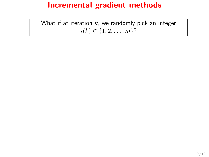What if at iteration  $k$ , we randomly pick an integer  $i(k) \in \{1, 2, \ldots, m\}$ ?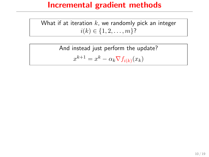What if at iteration  $k$ , we randomly pick an integer  $i(k) \in \{1, 2, \ldots, m\}$ ?

> And instead just perform the update?  $x^{k+1} = x^k - \alpha_k \nabla f_{i(k)}(x_k)$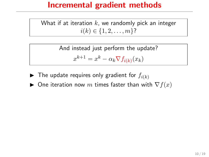What if at iteration  $k$ , we randomly pick an integer  $i(k) \in \{1, 2, \ldots, m\}$ ?

> And instead just perform the update?  $x^{k+1} = x^k - \alpha_k \nabla f_{i(k)}(x_k)$

- $\blacktriangleright$  The update requires only gradient for  $f_{i(k)}$
- ▶ One iteration now m times faster than with  $\nabla f(x)$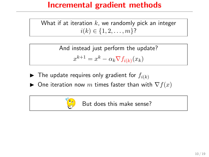What if at iteration  $k$ , we randomly pick an integer  $i(k) \in \{1, 2, \ldots, m\}$ ?

> And instead just perform the update?  $x^{k+1} = x^k - \alpha_k \nabla f_{i(k)}(x_k)$

- $\blacktriangleright$  The update requires only gradient for  $f_{i(k)}$
- ► One iteration now  $m$  times faster than with  $\nabla f(x)$



But does this make sense?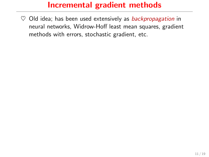$\heartsuit$  Old idea; has been used extensively as backpropagation in neural networks, Widrow-Hoff least mean squares, gradient methods with errors, stochastic gradient, etc.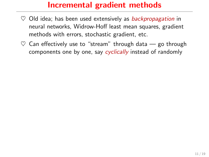- $\heartsuit$  Old idea; has been used extensively as backpropagation in neural networks, Widrow-Hoff least mean squares, gradient methods with errors, stochastic gradient, etc.
- $\heartsuit$  Can effectively use to "stream" through data go through components one by one, say *cyclically* instead of randomly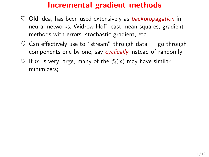- $\heartsuit$  Old idea; has been used extensively as backpropagation in neural networks, Widrow-Hoff least mean squares, gradient methods with errors, stochastic gradient, etc.
- $\heartsuit$  Can effectively use to "stream" through data go through components one by one, say cyclically instead of randomly
- $\heartsuit$  If m is very large, many of the  $f_i(x)$  may have similar minimizers;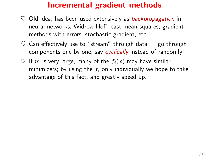- $\heartsuit$  Old idea; has been used extensively as backpropagation in neural networks, Widrow-Hoff least mean squares, gradient methods with errors, stochastic gradient, etc.
- $\heartsuit$  Can effectively use to "stream" through data go through components one by one, say cyclically instead of randomly
- $\heartsuit$  If m is very large, many of the  $f_i(x)$  may have similar minimizers; by using the  $f_i$  only individually we hope to take advantage of this fact, and greatly speed up.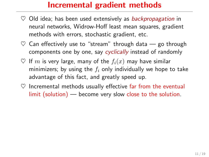- $\heartsuit$  Old idea; has been used extensively as backpropagation in neural networks, Widrow-Hoff least mean squares, gradient methods with errors, stochastic gradient, etc.
- $\heartsuit$  Can effectively use to "stream" through data go through components one by one, say cyclically instead of randomly
- $\heartsuit$  If m is very large, many of the  $f_i(x)$  may have similar minimizers; by using the  $f_i$  only individually we hope to take advantage of this fact, and greatly speed up.
- $\heartsuit$  Incremental methods usually effective far from the eventual limit (solution) — become very slow close to the solution.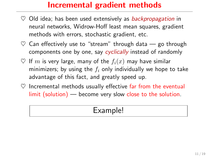- $\heartsuit$  Old idea; has been used extensively as *backpropagation* in neural networks, Widrow-Hoff least mean squares, gradient methods with errors, stochastic gradient, etc.
- $\heartsuit$  Can effectively use to "stream" through data go through components one by one, say cyclically instead of randomly
- $\heartsuit$  If m is very large, many of the  $f_i(x)$  may have similar minimizers; by using the  $f_i$  only individually we hope to take advantage of this fact, and greatly speed up.
- $\heartsuit$  Incremental methods usually effective far from the eventual limit (solution) — become very slow close to the solution.

### Example!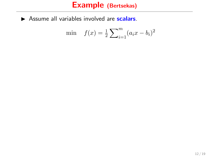min 
$$
f(x) = \frac{1}{2} \sum_{i=1}^{m} (a_i x - b_i)^2
$$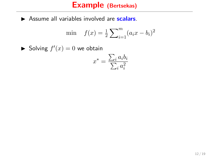$$
\min \quad f(x) = \frac{1}{2} \sum_{i=1}^{m} (a_i x - b_i)^2
$$

Solving  $f'(x) = 0$  we obtain

$$
x^* = \frac{\sum_i a_i b_i}{\sum_i a_i^2}
$$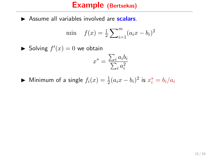$$
\min \quad f(x) = \frac{1}{2} \sum_{i=1}^{m} (a_i x - b_i)^2
$$

Solving  $f'(x) = 0$  we obtain

$$
x^* = \frac{\sum_i a_i b_i}{\sum_i a_i^2}
$$

$$
\blacktriangleright
$$
 Minimum of a single  $f_i(x) = \frac{1}{2}(a_i x - b_i)^2$  is  $x_i^* = b_i/a_i$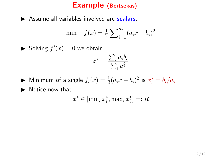$$
\min \quad f(x) = \frac{1}{2} \sum_{i=1}^{m} (a_i x - b_i)^2
$$

Solving  $f'(x) = 0$  we obtain

$$
x^* = \frac{\sum_i a_i b_i}{\sum_i a_i^2}
$$

- ► Minimum of a single  $f_i(x) = \frac{1}{2}(a_i x b_i)^2$  is  $x_i^* = b_i/a_i$
- $\blacktriangleright$  Notice now that

$$
x^* \in [\min_i x_i^*, \max_i x_i^*] =: R
$$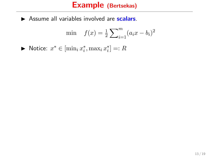$$
\min \quad f(x) = \frac{1}{2} \sum_{i=1}^{m} (a_i x - b_i)^2
$$

► Notice:  $x^* \in [\min_i x_i^*, \max_i x_i^*] =: R$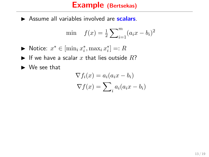$$
\min \quad f(x) = \frac{1}{2} \sum_{i=1}^{m} (a_i x - b_i)^2
$$

- ► Notice:  $x^* \in [\min_i x_i^*, \max_i x_i^*] =: R$
- If we have a scalar x that lies outside  $R$ ?
- $\blacktriangleright$  We see that

$$
\nabla f_i(x) = a_i(a_i x - b_i)
$$

$$
\nabla f(x) = \sum_i a_i(a_i x - b_i)
$$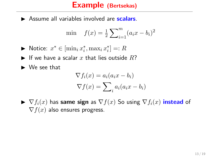$$
\min \quad f(x) = \frac{1}{2} \sum_{i=1}^{m} (a_i x - b_i)^2
$$

- ► Notice:  $x^* \in [\min_i x_i^*, \max_i x_i^*] =: R$
- If we have a scalar x that lies outside  $R$ ?
- $\blacktriangleright$  We see that

$$
\nabla f_i(x) = a_i(a_i x - b_i)
$$

$$
\nabla f(x) = \sum_i a_i(a_i x - b_i)
$$

 $\blacktriangleright \nabla f_i(x)$  has same sign as  $\nabla f_i(x)$  So using  $\nabla f_i(x)$  instead of  $\nabla f(x)$  also ensures progress.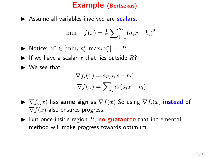$$
\min \quad f(x) = \frac{1}{2} \sum_{i=1}^{m} (a_i x - b_i)^2
$$

- ► Notice:  $x^* \in [\min_i x_i^*, \max_i x_i^*] =: R$
- If we have a scalar x that lies outside  $R$ ?
- $\blacktriangleright$  We see that

$$
\nabla f_i(x) = a_i(a_i x - b_i)
$$

$$
\nabla f(x) = \sum_i a_i(a_i x - b_i)
$$

- $\blacktriangleright \nabla f_i(x)$  has same sign as  $\nabla f(x)$  So using  $\nabla f_i(x)$  instead of  $\nabla f(x)$  also ensures progress.
- $\triangleright$  But once inside region R, **no guarantee** that incremental method will make progress towards optimum.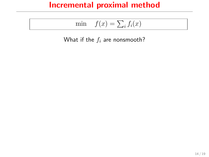## Incremental proximal method

$$
\min \quad f(x) = \sum_i f_i(x)
$$

What if the  $f_i$  are nonsmooth?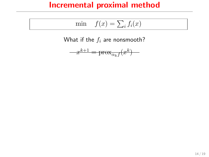### Incremental proximal method

$$
\min \quad f(x) = \sum_i f_i(x)
$$

What if the  $f_i$  are nonsmooth?

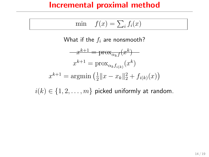### Incremental proximal method

$$
\min \quad f(x) = \sum_i f_i(x)
$$

What if the  $f_i$  are nonsmooth?

$$
x^{k+1} = \text{prox}_{\alpha_k f}(x^k)
$$

$$
x^{k+1} = \text{prox}_{\alpha_k f_{i(k)}}(x^k)
$$

$$
x^{k+1} = \text{argmin}(\frac{1}{2}||x - x_k||_2^2 + f_{i(k)}(x))
$$

 $i(k) \in \{1, 2, \ldots, m\}$  picked uniformly at random.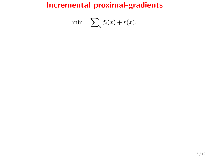$$
\min \quad \sum_i f_i(x) + r(x).
$$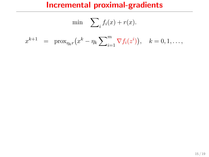$$
\min \sum_{i} f_i(x) + r(x).
$$
  

$$
x^{k+1} = \text{prox}_{\eta_k r}(x^k - \eta_k \sum_{i=1}^m \nabla f_i(z^i)), \quad k = 0, 1, ...,
$$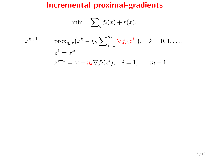$$
\min \sum_{i} f_i(x) + r(x).
$$
  

$$
x^{k+1} = \text{prox}_{\eta_k r} (x^k - \eta_k \sum_{i=1}^m \nabla f_i(z^i)), \quad k = 0, 1, ...,
$$
  

$$
z^1 = x^k
$$
  

$$
z^{i+1} = z^i - \eta_k \nabla f_i(z^i), \quad i = 1, ..., m - 1.
$$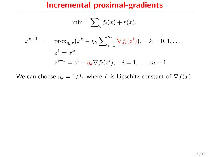$$
\min \sum_{i} f_i(x) + r(x).
$$
  

$$
x^{k+1} = \text{prox}_{\eta_k r} (x^k - \eta_k \sum_{i=1}^m \nabla f_i(z^i)), \quad k = 0, 1, ...,
$$
  

$$
z^1 = x^k
$$
  

$$
z^{i+1} = z^i - \eta_k \nabla f_i(z^i), \quad i = 1, ..., m - 1.
$$

We can choose  $\eta_k = 1/L$ , where L is Lipschitz constant of  $\nabla f(x)$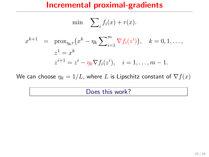$$
\min \sum_{i} f_i(x) + r(x).
$$
  

$$
x^{k+1} = \text{prox}_{\eta_k r} (x^k - \eta_k \sum_{i=1}^m \nabla f_i(z^i)), \quad k = 0, 1, ...,
$$
  

$$
z^1 = x^k
$$
  

$$
z^{i+1} = z^i - \eta_k \nabla f_i(z^i), \quad i = 1, ..., m - 1.
$$

We can choose  $\eta_k = 1/L$ , where L is Lipschitz constant of  $\nabla f(x)$ 

#### Does this work?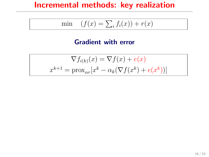## Incremental methods: key realization

$$
\min \quad (f(x) = \sum_i f_i(x)) + r(x)
$$

#### Gradient with error

$$
\nabla f_{i(k)}(x) = \nabla f(x) + e(x)
$$

$$
x^{k+1} = \text{prox}_{\alpha r}[x^k - \alpha_k(\nabla f(x^k) + e(x^k))]
$$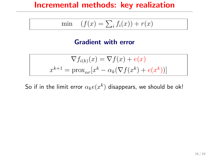### Incremental methods: key realization

$$
\min \quad (f(x) = \sum_i f_i(x)) + r(x)
$$

#### Gradient with error

$$
\nabla f_{i(k)}(x) = \nabla f(x) + e(x)
$$

$$
x^{k+1} = \text{prox}_{\alpha r}[x^k - \alpha_k(\nabla f(x^k) + e(x^k))]
$$

So if in the limit error  $\alpha_k e(x^k)$  disappears, we should be ok!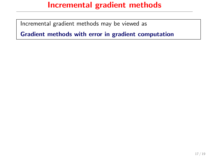Incremental gradient methods may be viewed as

Gradient methods with error in gradient computation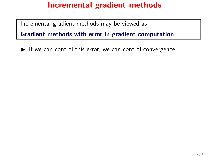Incremental gradient methods may be viewed as

Gradient methods with error in gradient computation

 $\blacktriangleright$  If we can control this error, we can control convergence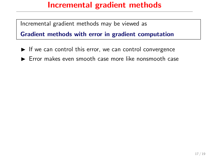Incremental gradient methods may be viewed as

Gradient methods with error in gradient computation

- $\blacktriangleright$  If we can control this error, we can control convergence
- $\blacktriangleright$  Error makes even smooth case more like nonsmooth case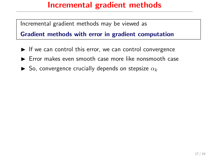Incremental gradient methods may be viewed as

Gradient methods with error in gradient computation

- $\blacktriangleright$  If we can control this error, we can control convergence
- $\blacktriangleright$  Error makes even smooth case more like nonsmooth case
- $\triangleright$  So, convergence crucially depends on stepsize  $\alpha_k$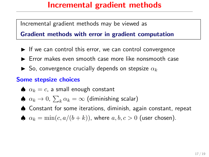Incremental gradient methods may be viewed as

Gradient methods with error in gradient computation

- $\blacktriangleright$  If we can control this error, we can control convergence
- $\blacktriangleright$  Error makes even smooth case more like nonsmooth case
- $\blacktriangleright$  So, convergence crucially depends on stepsize  $\alpha_k$

#### Some stepsize choices

- $\bullet$   $\alpha_k = c$ , a small enough constant
- $\spadesuit \ \alpha_k \to 0, \ \sum_k \alpha_k = \infty$  (diminishing scalar)
- ♠ Constant for some iterations, diminish, again constant, repeat
- $\spadesuit$   $\alpha_k = \min(c, a/(b+k))$ , where  $a, b, c > 0$  (user chosen).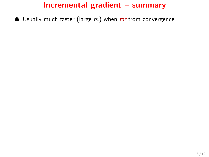$\spadesuit$  Usually much faster (large m) when far from convergence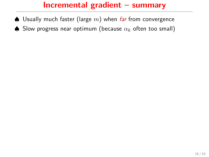- $\spadesuit$  Usually much faster (large m) when far from convergence
- $\spadesuit$  Slow progress near optimum (because  $\alpha_k$  often too small)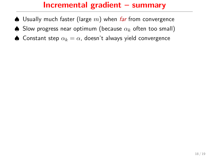- $\spadesuit$  Usually much faster (large m) when far from convergence
- $\spadesuit$  Slow progress near optimum (because  $\alpha_k$  often too small)
- ♦ Constant step  $\alpha_k = \alpha$ , doesn't always yield convergence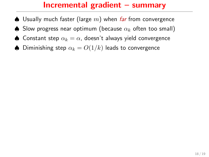- $\spadesuit$  Usually much faster (large m) when far from convergence
- $\spadesuit$  Slow progress near optimum (because  $\alpha_k$  often too small)
- ♦ Constant step  $\alpha_k = \alpha$ , doesn't always yield convergence
- $\spadesuit$  Diminishing step  $\alpha_k = O(1/k)$  leads to convergence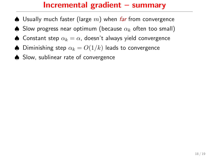- $\triangle$  Usually much faster (large m) when far from convergence
- $\spadesuit$  Slow progress near optimum (because  $\alpha_k$  often too small)
- ♦ Constant step  $\alpha_k = \alpha$ , doesn't always yield convergence
- ♦ Diminishing step  $\alpha_k = O(1/k)$  leads to convergence
- ♠ Slow, sublinear rate of convergence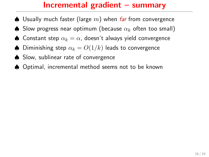- $\triangle$  Usually much faster (large m) when far from convergence
- $\spadesuit$  Slow progress near optimum (because  $\alpha_k$  often too small)
- ♦ Constant step  $\alpha_k = \alpha$ , doesn't always yield convergence
- ♦ Diminishing step  $\alpha_k = O(1/k)$  leads to convergence
- ♠ Slow, sublinear rate of convergence
- ♠ Optimal, incremental method seems not to be known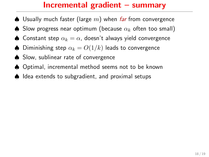- $\triangle$  Usually much faster (large m) when far from convergence
- $\spadesuit$  Slow progress near optimum (because  $\alpha_k$  often too small)
- ♦ Constant step  $\alpha_k = \alpha$ , doesn't always yield convergence
- ♦ Diminishing step  $\alpha_k = O(1/k)$  leads to convergence
- ♠ Slow, sublinear rate of convergence
- ♠ Optimal, incremental method seems not to be known
- ♠ Idea extends to subgradient, and proximal setups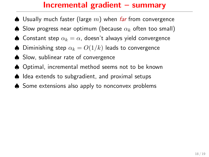- $\triangle$  Usually much faster (large m) when far from convergence
- $\spadesuit$  Slow progress near optimum (because  $\alpha_k$  often too small)
- ♦ Constant step  $\alpha_k = \alpha$ , doesn't always yield convergence
- ♦ Diminishing step  $\alpha_k = O(1/k)$  leads to convergence
- ♠ Slow, sublinear rate of convergence
- ♠ Optimal, incremental method seems not to be known
- ♠ Idea extends to subgradient, and proximal setups
- ♠ Some extensions also apply to nonconvex problems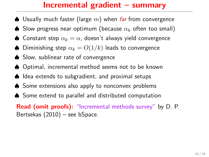## Incremental gradient – summary

- $\triangle$  Usually much faster (large m) when *far* from convergence
- $\spadesuit$  Slow progress near optimum (because  $\alpha_k$  often too small)
- ♦ Constant step  $\alpha_k = \alpha$ , doesn't always yield convergence
- ♦ Diminishing step  $\alpha_k = O(1/k)$  leads to convergence
- ♠ Slow, sublinear rate of convergence
- ♠ Optimal, incremental method seems not to be known
- ♠ Idea extends to subgradient, and proximal setups
- ♠ Some extensions also apply to nonconvex problems
- ♠ Some extend to parallel and distributed computation

Read (omit proofs): "Incremental methods survey" by D. P. Bertsekas (2010) – see bSpace.